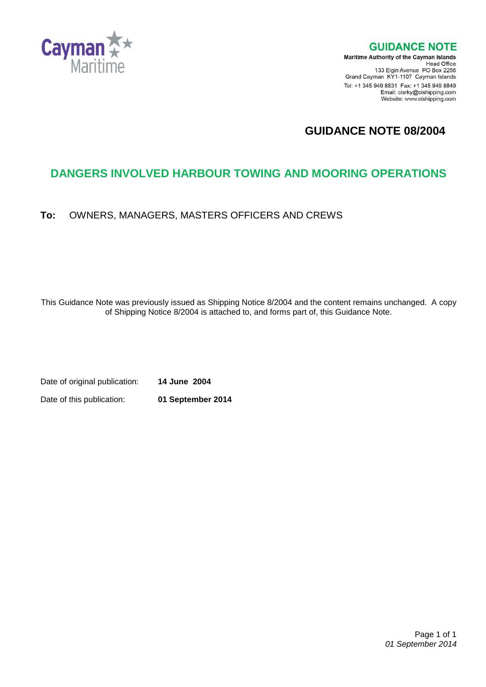

**GUIDANCE NOTE** 

**Maritime Authority of the Cayman Islands** Head Office<br>Head Office<br>133 Elgin Avenue PO Box 2256 Grand Cayman KY1-1107 Cayman Islands Tel: +1 345 949 8831 Fax: +1 345 949 8849 Email: cisrky@cishipping.com Website: www.cishipping.com

# **GUIDANCE NOTE 08/2004**

# **DANGERS INVOLVED HARBOUR TOWING AND MOORING OPERATIONS**

**To:** OWNERS, MANAGERS, MASTERS OFFICERS AND CREWS

This Guidance Note was previously issued as Shipping Notice 8/2004 and the content remains unchanged. A copy of Shipping Notice 8/2004 is attached to, and forms part of, this Guidance Note.

Date of original publication: **14 June 2004** Date of this publication: **01 September 2014**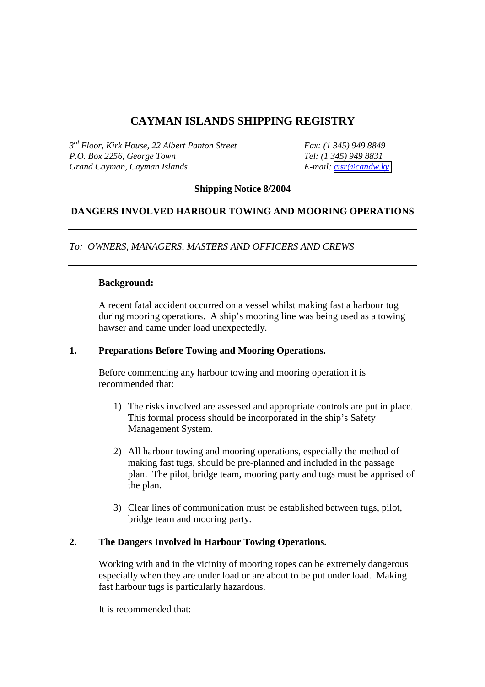## **CAYMAN ISLANDS SHIPPING REGISTRY**

*3rd Floor, Kirk House, 22 Albert Panton Street Fax: (1 345) 949 8849 P.O. Box 2256, George Town Grand Cayman, Cayman Islands E-mail: [cisr@candw.ky](mailto:cisr@candw.ky)*

#### **Shipping Notice 8/2004**

### **DANGERS INVOLVED HARBOUR TOWING AND MOORING OPERATIONS**

*To: OWNERS, MANAGERS, MASTERS AND OFFICERS AND CREWS* 

#### **Background:**

A recent fatal accident occurred on a vessel whilst making fast a harbour tug during mooring operations. A ship's mooring line was being used as a towing hawser and came under load unexpectedly.

#### **1. Preparations Before Towing and Mooring Operations.**

Before commencing any harbour towing and mooring operation it is recommended that:

- 1) The risks involved are assessed and appropriate controls are put in place. This formal process should be incorporated in the ship's Safety Management System.
- 2) All harbour towing and mooring operations, especially the method of making fast tugs, should be pre-planned and included in the passage plan. The pilot, bridge team, mooring party and tugs must be apprised of the plan.
- 3) Clear lines of communication must be established between tugs, pilot, bridge team and mooring party.

### **2. The Dangers Involved in Harbour Towing Operations.**

Working with and in the vicinity of mooring ropes can be extremely dangerous especially when they are under load or are about to be put under load. Making fast harbour tugs is particularly hazardous.

It is recommended that: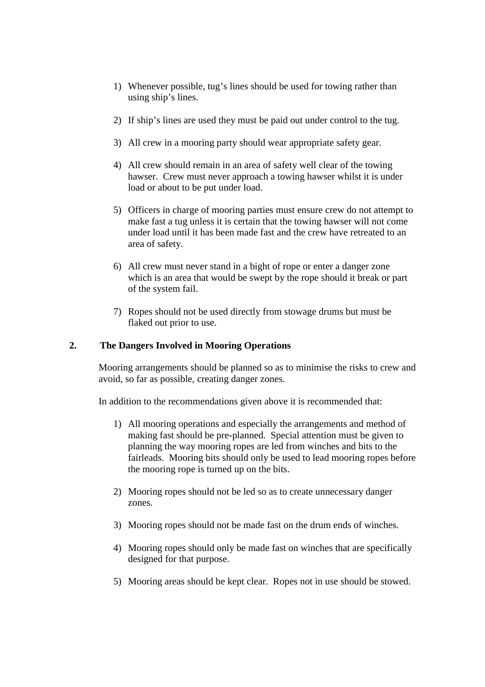- 1) Whenever possible, tug's lines should be used for towing rather than using ship's lines.
- 2) If ship's lines are used they must be paid out under control to the tug.
- 3) All crew in a mooring party should wear appropriate safety gear.
- 4) All crew should remain in an area of safety well clear of the towing hawser. Crew must never approach a towing hawser whilst it is under load or about to be put under load.
- 5) Officers in charge of mooring parties must ensure crew do not attempt to make fast a tug unless it is certain that the towing hawser will not come under load until it has been made fast and the crew have retreated to an area of safety.
- 6) All crew must never stand in a bight of rope or enter a danger zone which is an area that would be swept by the rope should it break or part of the system fail.
- 7) Ropes should not be used directly from stowage drums but must be flaked out prior to use.

### **2. The Dangers Involved in Mooring Operations**

Mooring arrangements should be planned so as to minimise the risks to crew and avoid, so far as possible, creating danger zones.

In addition to the recommendations given above it is recommended that:

- 1) All mooring operations and especially the arrangements and method of making fast should be pre-planned. Special attention must be given to planning the way mooring ropes are led from winches and bits to the fairleads. Mooring bits should only be used to lead mooring ropes before the mooring rope is turned up on the bits.
- 2) Mooring ropes should not be led so as to create unnecessary danger zones.
- 3) Mooring ropes should not be made fast on the drum ends of winches.
- 4) Mooring ropes should only be made fast on winches that are specifically designed for that purpose.
- 5) Mooring areas should be kept clear. Ropes not in use should be stowed.